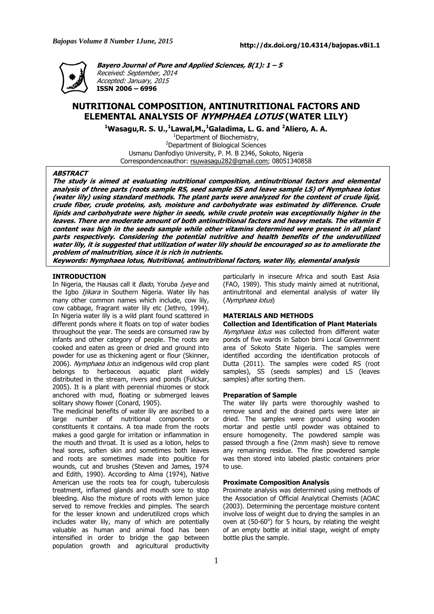

**Bayero Journal of Pure and Applied Sciences, 8(1): 1 – 5**  Received: September, 2014 Accepted: January, 2015 **ISSN 2006 – 6996** 

# **NUTRITIONAL COMPOSITION, ANTINUTRITIONAL FACTORS AND ELEMENTAL ANALYSIS OF NYMPHAEA LOTUS (WATER LILY)**

**<sup>1</sup>Wasagu,R. S. U.,<sup>1</sup> Lawal,M.,<sup>1</sup>Galadima, L. G. and <sup>2</sup>Aliero, A. A.** 

<sup>1</sup>Department of Biochemistry, <sup>2</sup>Department of Biological Sciences Usmanu Danfodiyo University, P. M. B 2346, Sokoto, Nigeria Correspondenceauthor: rsuwasagu282@gmail.com; 08051340858

# **ABSTRACT**

**The study is aimed at evaluating nutritional composition, antinutritional factors and elemental analysis of three parts (roots sample RS, seed sample SS and leave sample LS) of Nymphaea lotus (water lily) using standard methods. The plant parts were analyzed for the content of crude lipid, crude fiber, crude proteins, ash, moisture and carbohydrate was estimated by difference. Crude lipids and carbohydrate were higher in seeds, while crude protein was exceptionally higher in the leaves. There are moderate amount of both antinutritional factors and heavy metals. The vitamin E content was high in the seeds sample while other vitamins determined were present in all plant parts respectively. Considering the potential nutritive and health benefits of the underutilized water lily, it is suggested that utilization of water lily should be encouraged so as to ameliorate the problem of malnutrition, since it is rich in nutrients.** 

**Keywords: Nymphaea lotus, Nutritional, antinutritional factors, water lily, elemental analysis** 

# **INTRODUCTION**

In Nigeria, the Hausas call it *Bado*, Yoruba *Iveve* and the Igbo *Ijikara* in Southern Nigeria. Water lily has many other common names which include, cow lily, cow cabbage, fragrant water lily etc (Jethro, 1994). In Nigeria water lily is a wild plant found scattered in different ponds where it floats on top of water bodies throughout the year. The seeds are consumed raw by infants and other category of people. The roots are cooked and eaten as green or dried and ground into powder for use as thickening agent or flour (Skinner, 2006). Nymphaea lotus an indigenous wild crop plant belongs to herbaceous aquatic plant widely distributed in the stream, rivers and ponds (Fulckar, 2005). It is a plant with perennial rhizomes or stock anchored with mud, floating or submerged leaves solitary showy flower (Conard, 1905).

The medicinal benefits of water lily are ascribed to a large number of nutritional components or constituents it contains. A tea made from the roots makes a good gargle for irritation or inflammation in the mouth and throat. It is used as a lotion, helps to heal sores, soften skin and sometimes both leaves and roots are sometimes made into poultice for wounds, cut and brushes (Steven and James, 1974 and Edith, 1990). According to Alma (1974), Native American use the roots tea for cough, tuberculosis treatment, inflamed glands and mouth sore to stop bleeding. Also the mixture of roots with lemon juice served to remove freckles and pimples. The search for the lesser known and underutilized crops which includes water lily, many of which are potentially valuable as human and animal food has been intensified in order to bridge the gap between population growth and agricultural productivity

particularly in insecure Africa and south East Asia (FAO, 1989). This study mainly aimed at nutritional, antinutritonal and elemental analysis of water lily (Nymphaea lotus)

#### **MATERIALS AND METHODS**

**Collection and Identification of Plant Materials** 

Nymphaea lotus was collected from different water ponds of five wards in Sabon birni Local Government area of Sokoto State Nigeria. The samples were identified according the identification protocols of Dutta (2011). The samples were coded RS (root samples), SS (seeds samples) and LS (leaves samples) after sorting them.

#### **Preparation of Sample**

The water lily parts were thoroughly washed to remove sand and the drained parts were later air dried. The samples were ground using wooden mortar and pestle until powder was obtained to ensure homogeneity. The powdered sample was passed through a fine (2mm mash) sieve to remove any remaining residue. The fine powdered sample was then stored into labeled plastic containers prior to use.

## **Proximate Composition Analysis**

Proximate analysis was determined using methods of the Association of Official Analytical Chemists (AOAC (2003). Determining the percentage moisture content involve loss of weight due to drying the samples in an oven at  $(50-60^{\circ})$  for 5 hours, by relating the weight of an empty bottle at initial stage, weight of empty bottle plus the sample.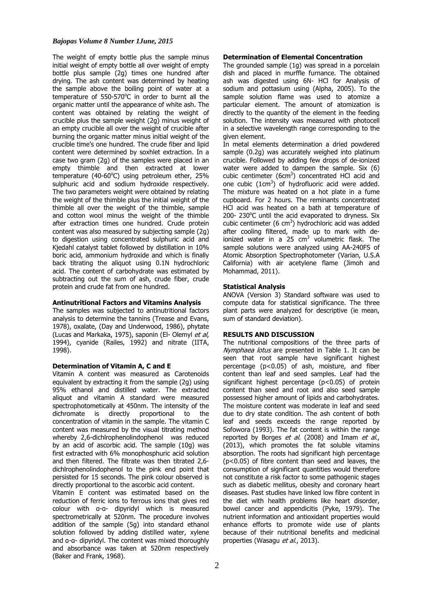# *Bajopas Volume 8 Number 1June, 2015*

The weight of empty bottle plus the sample minus initial weight of empty bottle all over weight of empty bottle plus sample (2g) times one hundred after drying. The ash content was determined by heating the sample above the boiling point of water at a temperature of  $550-570^{\circ}$ C in order to burnt all the organic matter until the appearance of white ash. The content was obtained by relating the weight of crucible plus the sample weight (2g) minus weight of an empty crucible all over the weight of crucible after burning the organic matter minus initial weight of the crucible time's one hundred. The crude fiber and lipid content were determined by soxhlet extraction. In a case two gram (2g) of the samples were placed in an empty thimble and then extracted at lower temperature  $(40-60^{\circ}C)$  using petroleum ether, 25% sulphuric acid and sodium hydroxide respectively. The two parameters weight were obtained by relating the weight of the thimble plus the initial weight of the thimble all over the weight of the thimble, sample and cotton wool minus the weight of the thimble after extraction times one hundred. Crude protein content was also measured by subjecting sample (2g) to digestion using concentrated sulphuric acid and Kjedahl catalyst tablet followed by distillation in 10% boric acid, ammonium hydroxide and which is finally back titrating the aliquot using 0.1N hydrochloric acid. The content of carbohydrate was estimated by subtracting out the sum of ash, crude fiber, crude protein and crude fat from one hundred.

## **Antinutritional Factors and Vitamins Analysis**

The samples was subjected to antinutritional factors analysis to determine the tannins (Trease and Evans, 1978), oxalate, (Day and Underwood, 1986), phytate (Lucas and Markaka, 1975), saponin (El- Olemyl et al, 1994), cyanide (Railes, 1992) and nitrate (IITA, 1998).

#### **Determination of Vitamin A, C and E**

Vitamin A content was measured as Carotenoids equivalent by extracting it from the sample (2g) using 95% ethanol and distilled water. The extracted aliquot and vitamin A standard were measured spectrophotometically at 450nm. The intensity of the dichromate is directly proportional to the dichromate is directly proportional to the concentration of vitamin in the sample. The vitamin C content was measured by the visual titrating method whereby 2,6-dichlrophenolindophenol was reduced by an acid of ascorbic acid. The sample (10g) was first extracted with 6% monophosphuric acid solution and then filtered. The filtrate was then titrated 2,6 dichlrophenolindophenol to the pink end point that persisted for 15 seconds. The pink colour observed is directly proportional to the ascorbic acid content.

Vitamin E content was estimated based on the reduction of ferric ions to ferrous ions that gives red colour with α-α- dipyridyl which is measured spectrometrically at 520nm. The procedure involves addition of the sample (5g) into standard ethanol solution followed by adding distilled water, xylene and α-α- dipyridyl. The content was mixed thoroughly and absorbance was taken at 520nm respectively (Baker and Frank, 1968).

## **Determination of Elemental Concentration**

The grounded sample (1g) was spread in a porcelain dish and placed in murffle furnance. The obtained ash was digested using 6N- HCl for Analysis of sodium and pottasium using (Alpha, 2005). To the sample solution flame was used to atomize a particular element. The amount of atomization is directly to the quantity of the element in the feeding solution. The intensity was measured with photocell in a selective wavelength range corresponding to the given element.

In metal elements determination a dried powdered sample (0.2g) was accurately weighed into platinum crucible. Followed by adding few drops of de-ionized water were added to dampen the sample. Six (6) cubic centimeter ( $6cm<sup>3</sup>$ ) concentrated HCl acid and one cubic  $(1cm<sup>3</sup>)$  of hydrofluoric acid were added. The mixture was heated on a hot plate in a fume cupboard. For 2 hours. The reminants concentrated HCl acid was heated on a bath at temperature of 200- 230 $^{\circ}$ C until the acid evaporated to dryness. Six cubic centimeter (6 cm<sup>3</sup>) hydrochloric acid was added after cooling filtered, made up to mark with deionized water in a 25  $cm<sup>3</sup>$  volumetric flask. The sample solutions were analyzed using AA-240FS of Atomic Absorption Spectrophotometer (Varian, U.S.A California) with air acetylene flame (Jimoh and Mohammad, 2011).

# **Statistical Analysis**

ANOVA (Version 3) Standard software was used to compute data for statistical significance. The three plant parts were analyzed for descriptive (ie mean, sum of standard deviation).

# **RESULTS AND DISCUSSION**

The nutritional compositions of the three parts of Nymphaea lotus are presented in Table 1. It can be seen that root sample have significant highest percentage (p<0.05) of ash, moisture, and fiber content than leaf and seed samples. Leaf had the significant highest percentage  $(p<0.05)$  of protein content than seed and root and also seed sample possessed higher amount of lipids and carbohydrates. The moisture content was moderate in leaf and seed due to dry state condition. The ash content of both leaf and seeds exceeds the range reported by Sofowora (1993). The fat content is within the range reported by Borges et al. (2008) and Imam et al., (2013), which promotes the fat soluble vitamins absorption. The roots had significant high percentage (p<0.05) of fibre content than seed and leaves, the consumption of significant quantities would therefore not constitute a risk factor to some pathogenic stages such as diabetic mellitus, obesity and coronary heart diseases. Past studies have linked low fibre content in the diet with health problems like heart disorder, bowel cancer and appendicitis (Pyke, 1979). The nutrient information and antioxidant properties would enhance efforts to promote wide use of plants because of their nutritional benefits and medicinal properties (Wasagu et al., 2013).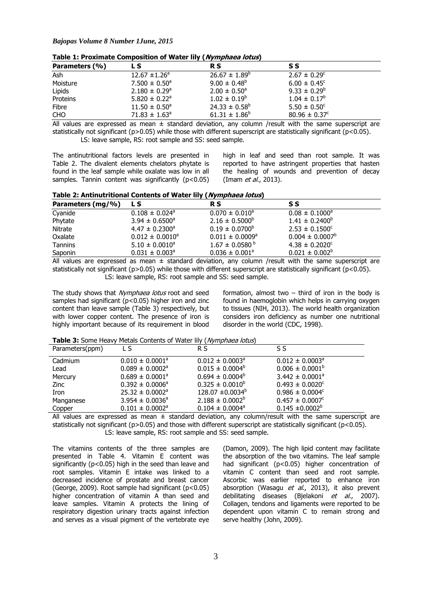| Parameters (%) | L S                           | <b>RS</b>                | S S                      |  |
|----------------|-------------------------------|--------------------------|--------------------------|--|
| Ash            | $12.67 \pm 1.26^{\circ}$      | $26.67 \pm 1.89^b$       | $2.67 \pm 0.29^{\circ}$  |  |
| Moisture       | 7.500 $\pm$ 0.50 <sup>a</sup> | $9.00 \pm 0.48^{\circ}$  | $6.00 \pm 0.45^{\circ}$  |  |
| Lipids         | $2.180 \pm 0.29$ <sup>a</sup> | $2.00 \pm 0.50^{\circ}$  | $9.33 \pm 0.29^b$        |  |
| Proteins       | $5.820 \pm 0.22$ <sup>a</sup> | $1.02 \pm 0.19^b$        | $1.04 \pm 0.17^b$        |  |
| Fibre          | $11.50 \pm 0.50^{\circ}$      | $24.33 \pm 0.58^{\circ}$ | $5.50 \pm 0.50^{\circ}$  |  |
| <b>CHO</b>     | $71.83 \pm 1.63$ <sup>a</sup> | $61.31 \pm 1.86^b$       | $80.96 \pm 0.37^{\circ}$ |  |

**Table 1: Proximate Composition of Water lily (Nymphaea lotus)** 

All values are expressed as mean  $\pm$  standard deviation, any column /result with the same superscript are statistically not significant ( $p>0.05$ ) while those with different superscript are statistically significant ( $p<0.05$ ). LS: leave sample, RS: root sample and SS: seed sample.

The antinutritional factors levels are presented in Table 2. The divalent elements chelators phytate is found in the leaf sample while oxalate was low in all samples. Tannin content was significantly  $(p<0.05)$  high in leaf and seed than root sample. It was reported to have astringent properties that hasten the healing of wounds and prevention of decay (Imam  $et\overline{al}$ , 2013).

| Parameters $(mg/\%)$ | L S                            | R S                       | S S                        |
|----------------------|--------------------------------|---------------------------|----------------------------|
| Cyanide              | $0.108 \pm 0.024$ <sup>a</sup> | $0.070 \pm 0.010^a$       | $0.08 \pm 0.1000^a$        |
| Phytate              | $3.94 \pm 0.6500^{\circ}$      | $2.16 \pm 0.5000^6$       | $1.41 \pm 0.2400^b$        |
| Nitrate              | $4.47 \pm 0.2300^a$            | $0.19 \pm 0.0700^b$       | $2.53 \pm 0.1500^{\circ}$  |
| Oxalate              | $0.012 \pm 0.0010^a$           | $0.011 \pm 0.0009^a$      | $0.004 \pm 0.0007^{\circ}$ |
| <b>Tannins</b>       | $5.10 \pm 0.0010^{\circ}$      | $1.67 \pm 0.0580^{\circ}$ | $4.38 \pm 0.2020^{\circ}$  |
| Saponin              | $0.031 \pm 0.003$ <sup>a</sup> | $0.036 \pm 0.001^a$       | $0.021 \pm 0.002^b$        |

All values are expressed as mean  $\pm$  standard deviation, any column /result with the same superscript are statistically not significant (p>0.05) while those with different superscript are statistically significant (p<0.05). LS: leave sample, RS: root sample and SS: seed sample.

The study shows that *Nymphaea lotus* root and seed samples had significant (p<0.05) higher iron and zinc content than leave sample (Table 3) respectively, but with lower copper content. The presence of iron is highly important because of its requirement in blood

formation, almost two – third of iron in the body is found in haemoglobin which helps in carrying oxygen to tissues (NIH, 2013). The world health organization considers iron deficiency as number one nutritional disorder in the world (CDC, 1998).

**Table 3:** Some Heavy Metals Contents of Water lily (*Nymphaea lotus*)

| Parameters(ppm) | L S                        | R S                        | S S                             |
|-----------------|----------------------------|----------------------------|---------------------------------|
| Cadmium         | $0.010 \pm 0.0001^{\circ}$ | $0.012 \pm 0.0003^a$       | $0.012 \pm 0.0003^a$            |
| Lead            | $0.089 \pm 0.0002^a$       | $0.015 \pm 0.0004^b$       | $0.006 \pm 0.0001^b$            |
| Mercury         | $0.689 \pm 0.0001^a$       | $0.694 \pm 0.0004^b$       | $3.442 \pm 0.0001^a$            |
| <b>Zinc</b>     | $0.392 \pm 0.0006^{\circ}$ | $0.325 \pm 0.0010^b$       | $0.493 \pm 0.0020^{\circ}$      |
| Iron            | $25.32 \pm 0.0002^a$       | $128.07 \pm 0.0034^b$      | $0.986 \pm 0.0004^c$            |
| Manganese       | $3.954 \pm 0.0036^a$       | $2.188 \pm 0.0002^b$       | $0.457 \pm 0.0007$ <sup>c</sup> |
| Copper          | $0.101 \pm 0.0002^a$       | $0.104 \pm 0.0004^{\circ}$ | $0.145 \pm 0.0002^b$            |

All values are expressed as mean  $\pm$  standard deviation, any column/result with the same superscript are statistically not significant (p>0.05) and those with different superscript are statistically significant (p<0.05). LS: leave sample, RS: root sample and SS: seed sample.

The vitamins contents of the three samples are presented in Table 4. Vitamin E content was significantly (p<0.05) high in the seed than leave and root samples. Vitamin E intake was linked to a decreased incidence of prostate and breast cancer (George, 2009). Root sample had significant (p<0.05) higher concentration of vitamin A than seed and leave samples. Vitamin A protects the lining of respiratory digestion urinary tracts against infection and serves as a visual pigment of the vertebrate eye (Damon, 2009). The high lipid content may facilitate the absorption of the two vitamins. The leaf sample had significant (p<0.05) higher concentration of vitamin C content than seed and root sample. Ascorbic was earlier reported to enhance iron absorption (Wasagu et  $al$ , 2013), it also prevent debilitating diseases (Bjelakoni et al., 2007). Collagen, tendons and ligaments were reported to be dependent upon vitamin C to remain strong and serve healthy (John, 2009).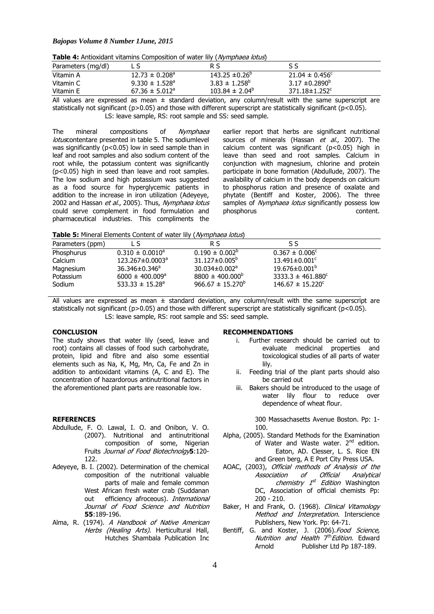# *Bajopas Volume 8 Number 1June, 2015*

| Parameters (mg/dl) |                                | R S                       | S S                             |
|--------------------|--------------------------------|---------------------------|---------------------------------|
| Vitamin A          | $12.73 \pm 0.208^{\circ}$      | $143.25 \pm 0.26^{\circ}$ | $21.04 \pm 0.456^{\circ}$       |
| Vitamin C          | $9.330 \pm 1.528$ <sup>a</sup> | $3.83 \pm 1.258^{\circ}$  | $3.17 \pm 0.2890^{\circ}$       |
| Vitamin E          | $67.36 \pm 5.012$ <sup>a</sup> | $103.84 \pm 2.04^b$       | $371.18 \pm 1.252$ <sup>c</sup> |

All values are expressed as mean  $\pm$  standard deviation, any column/result with the same superscript are statistically not significant (p>0.05) and those with different superscript are statistically significant (p<0.05). LS: leave sample, RS: root sample and SS: seed sample.

The mineral compositions of Nymphaea lotuscontentare presented in table 5. The sodiumlevel was significantly ( $p$ <0.05) low in seed sample than in leaf and root samples and also sodium content of the root while, the potassium content was significantly (p<0.05) high in seed than leave and root samples. The low sodium and high potassium was suggested as a food source for hyperglycemic patients in addition to the increase in iron utilization (Adeyeye, 2002 and Hassan et al., 2005). Thus, Nymphaea lotus could serve complement in food formulation and pharmaceutical industries. This compliments the

earlier report that herbs are significant nutritional sources of minerals (Hassan et al., 2007). The calcium content was significant (p<0.05) high in leave than seed and root samples. Calcium in conjunction with magnesium, chlorine and protein participate in bone formation (Abdullude, 2007). The availability of calcium in the body depends on calcium to phosphorus ration and presence of oxalate and phytate (Bentiff and Koster, 2006). The three samples of Nymphaea lotus significantly possess low phosphorus content.

**Table 5:** Mineral Elements Content of water lily (*Nymphaea lotus*)

|                                 | R S                             | S S                             |  |
|---------------------------------|---------------------------------|---------------------------------|--|
| $0.310 \pm 0.0010^a$            | $0.190 \pm 0.002^{\circ}$       | $0.367 \pm 0.006^{\circ}$       |  |
| 123.267±0.0003 <sup>a</sup>     | $31.127 \pm 0.005^{\circ}$      | $13.491 \pm 0.001$ <sup>c</sup> |  |
| $36.346 \pm 0.346^a$            | $30.034 \pm 0.002$ <sup>a</sup> | $19.676 \pm 0.001^{b}$          |  |
| $6000 \pm 400.009$ <sup>a</sup> | $8800 \pm 400.000^b$            | $3333.3 \pm 461.880^c$          |  |
| 533.33 $\pm$ 15.28 <sup>a</sup> | $966.67 \pm 15.270^b$           | $146.67 \pm 15.220^{\circ}$     |  |
|                                 |                                 |                                 |  |

All values are expressed as mean  $\pm$  standard deviation, any column/result with the same superscript are statistically not significant (p>0.05) and those with different superscript are statistically significant (p<0.05). LS: leave sample, RS: root sample and SS: seed sample.

# **CONCLUSION**

The study shows that water lily (seed, leave and root) contains all classes of food such carbohydrate, protein, lipid and fibre and also some essential elements such as Na, K, Mg, Mn, Ca, Fe and Zn in addition to antioxidant vitamins (A, C and E). The concentration of hazardorous antinutritional factors in the aforementioned plant parts are reasonable low.

# **REFERENCES**

- Abdullude, F. O. Lawal, I. O. and Onibon, V. O. (2007). Nutritional and antinutritional composition of some, Nigerian Fruits Journal of Food Biotechnolgy**5**:120- 122.
- Adeyeye, B. I. (2002). Determination of the chemical composition of the nutritional valuable parts of male and female common West African fresh water crab (Suddanan out efficiency afroceous). International Journal of Food Science and Nutrition **55**:189-196.
- Alma, R. (1974). A Handbook of Native American Herbs (Healing Arts). Herticultural Hall, Hutches Shambala Publication Inc

#### **RECOMMENDATIONS**

- i. Further research should be carried out to evaluate medicinal properties and toxicological studies of all parts of water lily.
- ii. Feeding trial of the plant parts should also be carried out
- iii. Bakers should be introduced to the usage of water lily flour to reduce over dependence of wheat flour.

300 Massachasetts Avenue Boston. Pp: 1- 100.

- Alpha, (2005). Standard Methods for the Examination of Water and Waste water. 2<sup>nd</sup> edition. Eaton, AD. Clesser, L. S. Rice EN and Green berg, A E Port City Press USA.
- AOAC, (2003), Official methods of Analysis of the Association of Official Analytical *chemistry 1<sup>st</sup> Edition* Washington DC, Association of official chemists Pp: 200 - 210.
- Baker, H and Frank, O. (1968). Clinical Vitamology Method and Interpretation. Interscience Publishers, New York. Pp: 64-71.
- Bentiff, G. and Koster, J. (2006). Food Science, Nutrition and Health 7<sup>th</sup> Edition. Edward Arnold Publisher Ltd Pp 187-189.